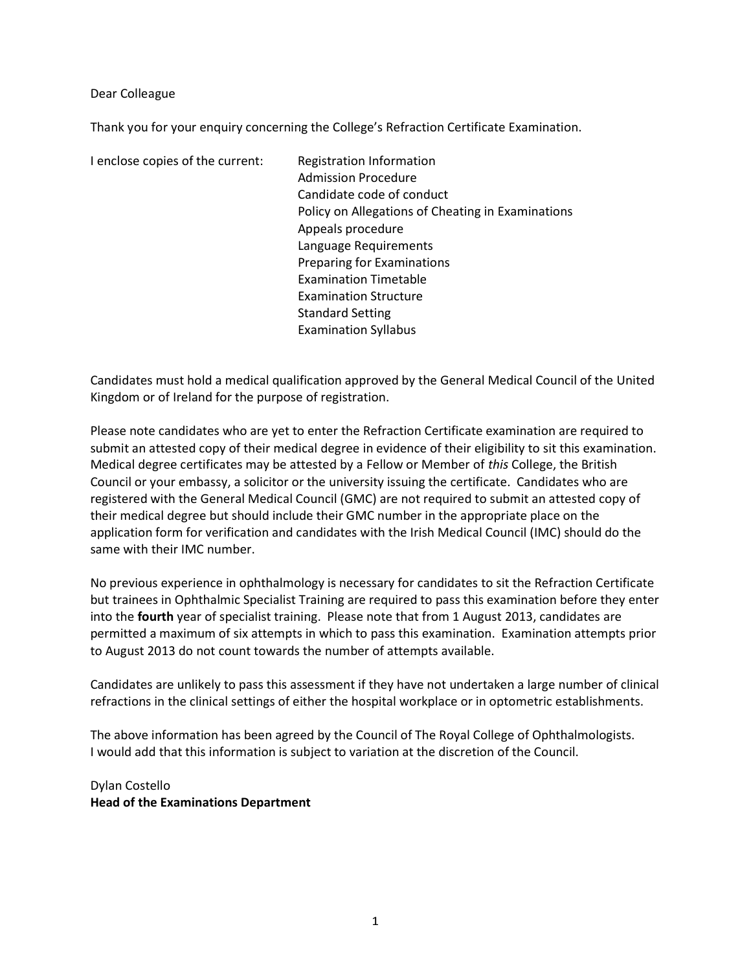Dear Colleague

Thank you for your enquiry concerning the College's Refraction Certificate Examination.

I enclose copies of the current: Registration Information

 Admission Procedure Candidate code of conduct Policy on Allegations of Cheating in Examinations Appeals procedure Language Requirements Preparing for Examinations Examination Timetable Examination Structure Standard Setting Examination Syllabus

Candidates must hold a medical qualification approved by the General Medical Council of the United Kingdom or of Ireland for the purpose of registration.

Please note candidates who are yet to enter the Refraction Certificate examination are required to submit an attested copy of their medical degree in evidence of their eligibility to sit this examination. Medical degree certificates may be attested by a Fellow or Member of this College, the British Council or your embassy, a solicitor or the university issuing the certificate. Candidates who are registered with the General Medical Council (GMC) are not required to submit an attested copy of their medical degree but should include their GMC number in the appropriate place on the application form for verification and candidates with the Irish Medical Council (IMC) should do the same with their IMC number.

No previous experience in ophthalmology is necessary for candidates to sit the Refraction Certificate but trainees in Ophthalmic Specialist Training are required to pass this examination before they enter into the fourth year of specialist training. Please note that from 1 August 2013, candidates are permitted a maximum of six attempts in which to pass this examination. Examination attempts prior to August 2013 do not count towards the number of attempts available.

Candidates are unlikely to pass this assessment if they have not undertaken a large number of clinical refractions in the clinical settings of either the hospital workplace or in optometric establishments.

The above information has been agreed by the Council of The Royal College of Ophthalmologists. I would add that this information is subject to variation at the discretion of the Council.

Dylan Costello Head of the Examinations Department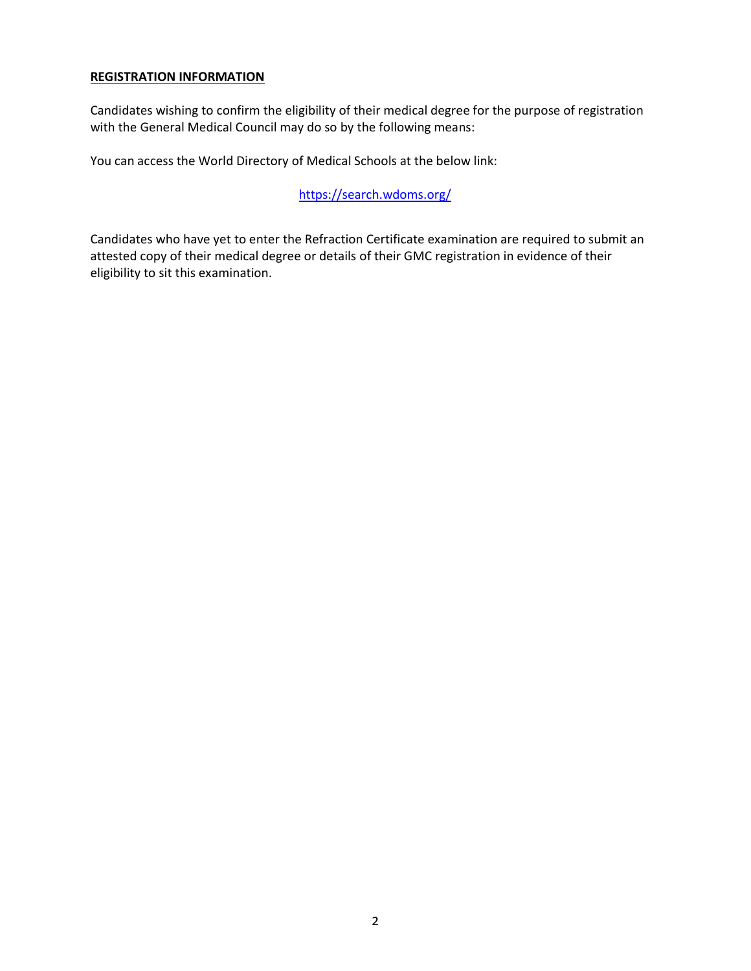### REGISTRATION INFORMATION

Candidates wishing to confirm the eligibility of their medical degree for the purpose of registration with the General Medical Council may do so by the following means:

You can access the World Directory of Medical Schools at the below link:

https://search.wdoms.org/

Candidates who have yet to enter the Refraction Certificate examination are required to submit an attested copy of their medical degree or details of their GMC registration in evidence of their eligibility to sit this examination.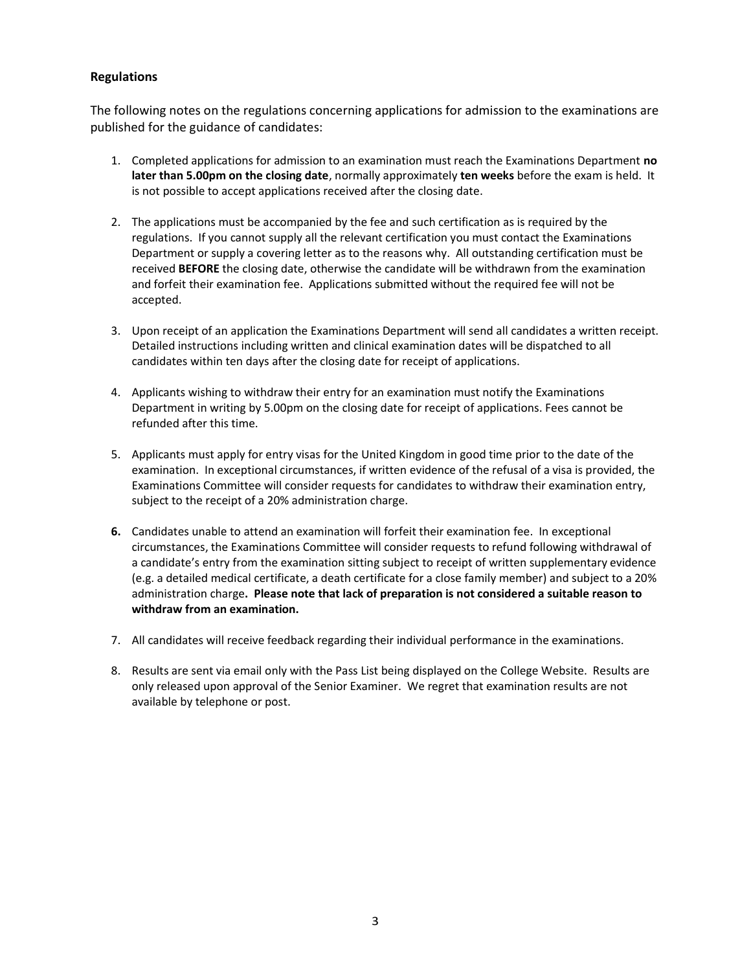### Regulations

The following notes on the regulations concerning applications for admission to the examinations are published for the guidance of candidates:

- 1. Completed applications for admission to an examination must reach the Examinations Department no later than 5.00pm on the closing date, normally approximately ten weeks before the exam is held. It is not possible to accept applications received after the closing date.
- 2. The applications must be accompanied by the fee and such certification as is required by the regulations. If you cannot supply all the relevant certification you must contact the Examinations Department or supply a covering letter as to the reasons why. All outstanding certification must be received BEFORE the closing date, otherwise the candidate will be withdrawn from the examination and forfeit their examination fee. Applications submitted without the required fee will not be accepted.
- 3. Upon receipt of an application the Examinations Department will send all candidates a written receipt. Detailed instructions including written and clinical examination dates will be dispatched to all candidates within ten days after the closing date for receipt of applications.
- 4. Applicants wishing to withdraw their entry for an examination must notify the Examinations Department in writing by 5.00pm on the closing date for receipt of applications. Fees cannot be refunded after this time.
- 5. Applicants must apply for entry visas for the United Kingdom in good time prior to the date of the examination. In exceptional circumstances, if written evidence of the refusal of a visa is provided, the Examinations Committee will consider requests for candidates to withdraw their examination entry, subject to the receipt of a 20% administration charge.
- 6. Candidates unable to attend an examination will forfeit their examination fee. In exceptional circumstances, the Examinations Committee will consider requests to refund following withdrawal of a candidate's entry from the examination sitting subject to receipt of written supplementary evidence (e.g. a detailed medical certificate, a death certificate for a close family member) and subject to a 20% administration charge. Please note that lack of preparation is not considered a suitable reason to withdraw from an examination.
- 7. All candidates will receive feedback regarding their individual performance in the examinations.
- 8. Results are sent via email only with the Pass List being displayed on the College Website. Results are only released upon approval of the Senior Examiner. We regret that examination results are not available by telephone or post.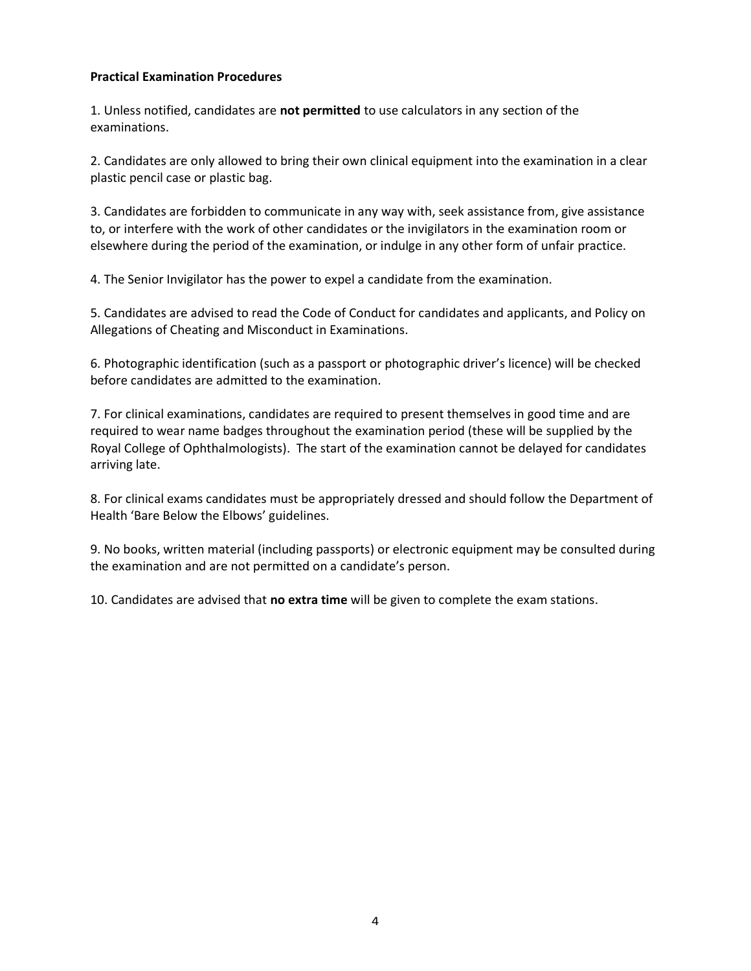### Practical Examination Procedures

1. Unless notified, candidates are not permitted to use calculators in any section of the examinations.

2. Candidates are only allowed to bring their own clinical equipment into the examination in a clear plastic pencil case or plastic bag.

3. Candidates are forbidden to communicate in any way with, seek assistance from, give assistance to, or interfere with the work of other candidates or the invigilators in the examination room or elsewhere during the period of the examination, or indulge in any other form of unfair practice.

4. The Senior Invigilator has the power to expel a candidate from the examination.

5. Candidates are advised to read the Code of Conduct for candidates and applicants, and Policy on Allegations of Cheating and Misconduct in Examinations.

6. Photographic identification (such as a passport or photographic driver's licence) will be checked before candidates are admitted to the examination.

7. For clinical examinations, candidates are required to present themselves in good time and are required to wear name badges throughout the examination period (these will be supplied by the Royal College of Ophthalmologists). The start of the examination cannot be delayed for candidates arriving late.

8. For clinical exams candidates must be appropriately dressed and should follow the Department of Health 'Bare Below the Elbows' guidelines.

9. No books, written material (including passports) or electronic equipment may be consulted during the examination and are not permitted on a candidate's person.

10. Candidates are advised that no extra time will be given to complete the exam stations.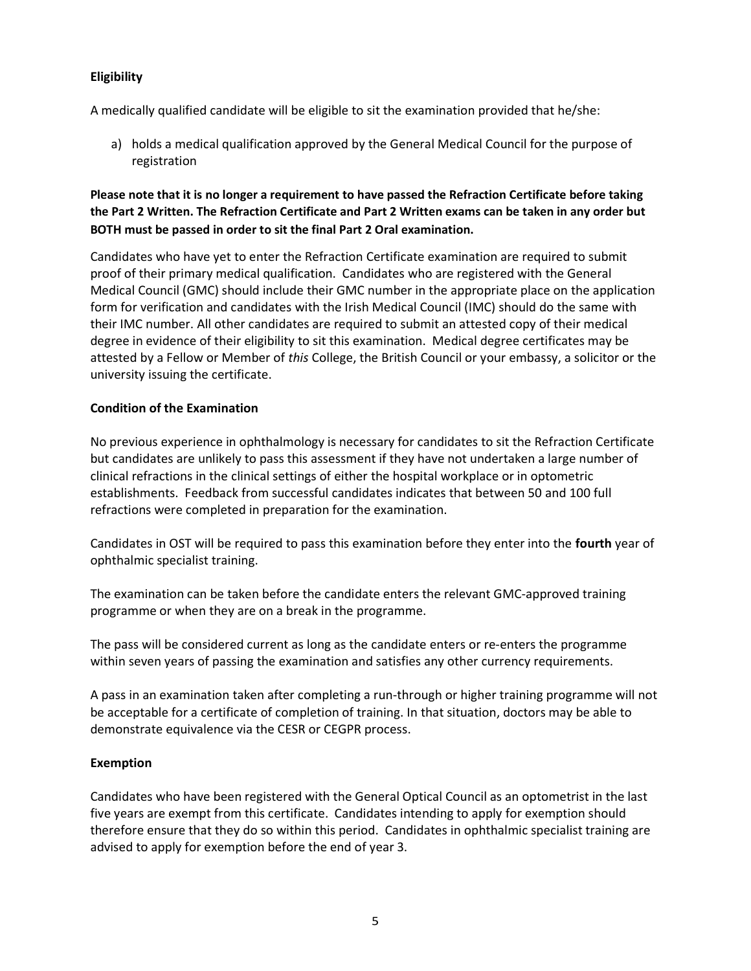### Eligibility

A medically qualified candidate will be eligible to sit the examination provided that he/she:

a) holds a medical qualification approved by the General Medical Council for the purpose of registration

### Please note that it is no longer a requirement to have passed the Refraction Certificate before taking the Part 2 Written. The Refraction Certificate and Part 2 Written exams can be taken in any order but BOTH must be passed in order to sit the final Part 2 Oral examination.

Candidates who have yet to enter the Refraction Certificate examination are required to submit proof of their primary medical qualification. Candidates who are registered with the General Medical Council (GMC) should include their GMC number in the appropriate place on the application form for verification and candidates with the Irish Medical Council (IMC) should do the same with their IMC number. All other candidates are required to submit an attested copy of their medical degree in evidence of their eligibility to sit this examination. Medical degree certificates may be attested by a Fellow or Member of this College, the British Council or your embassy, a solicitor or the university issuing the certificate.

### Condition of the Examination

No previous experience in ophthalmology is necessary for candidates to sit the Refraction Certificate but candidates are unlikely to pass this assessment if they have not undertaken a large number of clinical refractions in the clinical settings of either the hospital workplace or in optometric establishments. Feedback from successful candidates indicates that between 50 and 100 full refractions were completed in preparation for the examination.

Candidates in OST will be required to pass this examination before they enter into the **fourth** year of ophthalmic specialist training.

The examination can be taken before the candidate enters the relevant GMC-approved training programme or when they are on a break in the programme.

The pass will be considered current as long as the candidate enters or re-enters the programme within seven years of passing the examination and satisfies any other currency requirements.

A pass in an examination taken after completing a run-through or higher training programme will not be acceptable for a certificate of completion of training. In that situation, doctors may be able to demonstrate equivalence via the CESR or CEGPR process.

### Exemption

Candidates who have been registered with the General Optical Council as an optometrist in the last five years are exempt from this certificate. Candidates intending to apply for exemption should therefore ensure that they do so within this period. Candidates in ophthalmic specialist training are advised to apply for exemption before the end of year 3.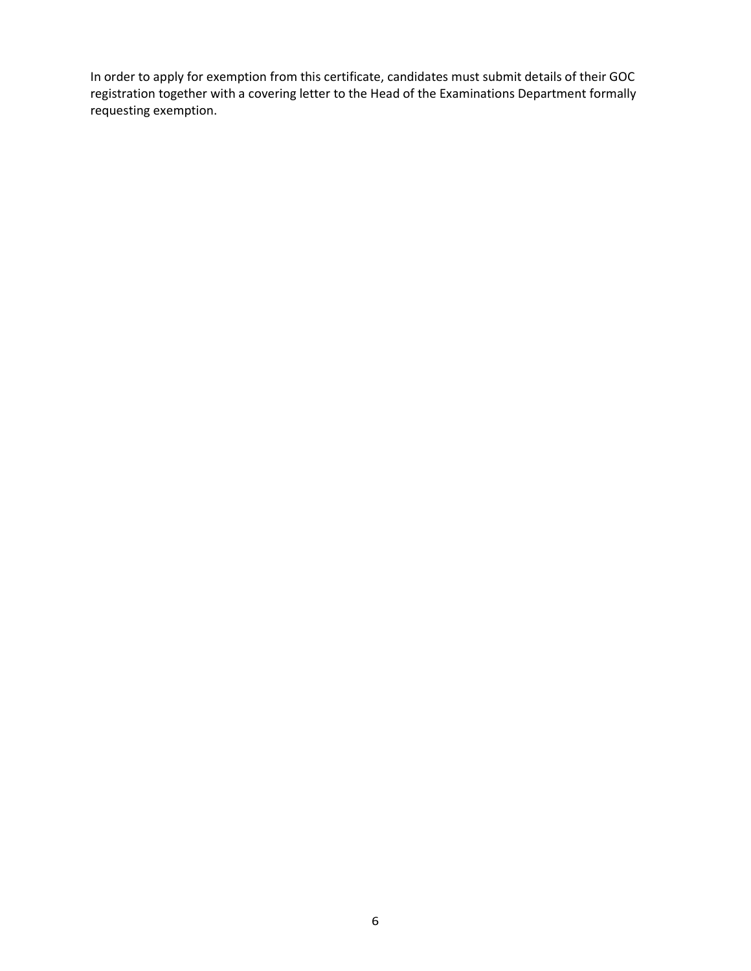In order to apply for exemption from this certificate, candidates must submit details of their GOC registration together with a covering letter to the Head of the Examinations Department formally requesting exemption.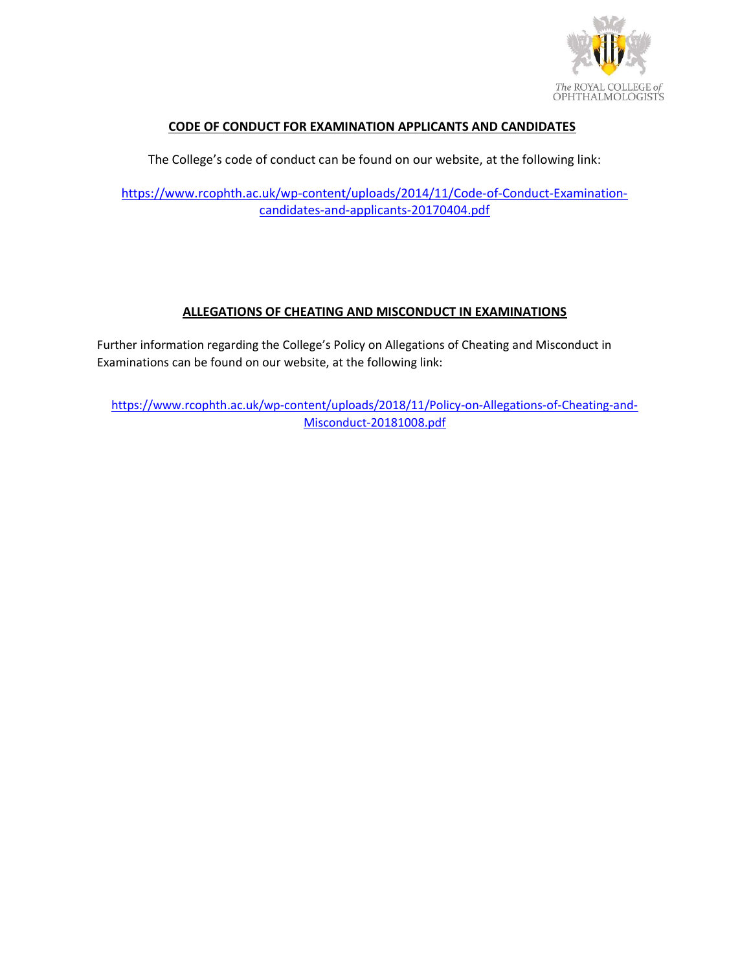

### CODE OF CONDUCT FOR EXAMINATION APPLICANTS AND CANDIDATES

The College's code of conduct can be found on our website, at the following link:

https://www.rcophth.ac.uk/wp-content/uploads/2014/11/Code-of-Conduct-Examinationcandidates-and-applicants-20170404.pdf

## ALLEGATIONS OF CHEATING AND MISCONDUCT IN EXAMINATIONS

Further information regarding the College's Policy on Allegations of Cheating and Misconduct in Examinations can be found on our website, at the following link:

https://www.rcophth.ac.uk/wp-content/uploads/2018/11/Policy-on-Allegations-of-Cheating-and-Misconduct-20181008.pdf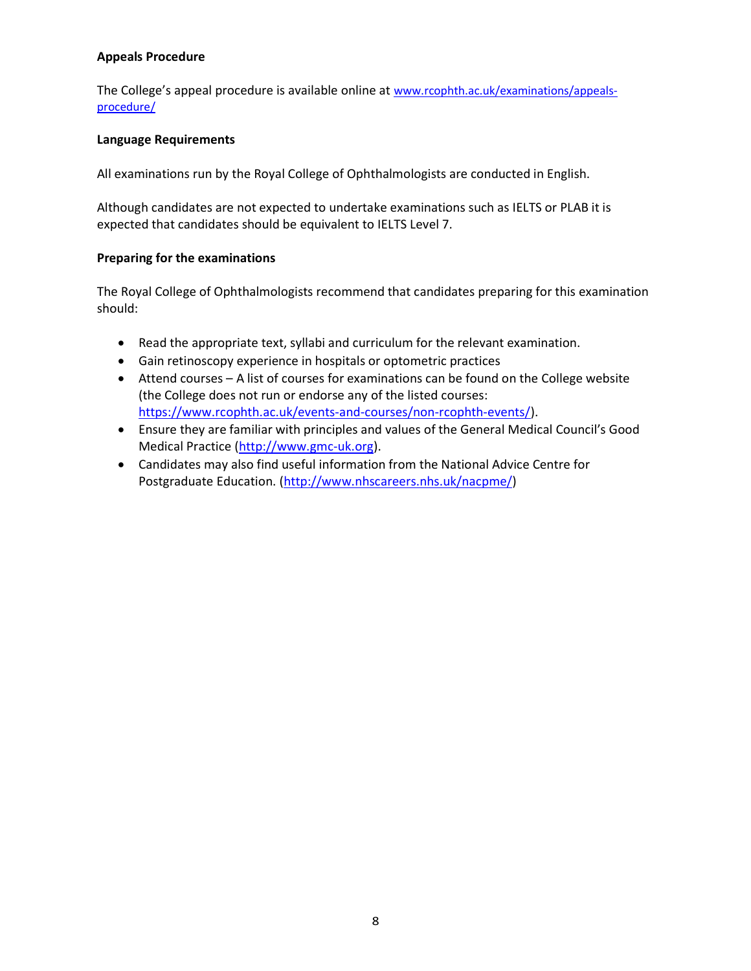### Appeals Procedure

The College's appeal procedure is available online at www.rcophth.ac.uk/examinations/appealsprocedure/

### Language Requirements

All examinations run by the Royal College of Ophthalmologists are conducted in English.

Although candidates are not expected to undertake examinations such as IELTS or PLAB it is expected that candidates should be equivalent to IELTS Level 7.

### Preparing for the examinations

The Royal College of Ophthalmologists recommend that candidates preparing for this examination should:

- Read the appropriate text, syllabi and curriculum for the relevant examination.
- Gain retinoscopy experience in hospitals or optometric practices
- Attend courses A list of courses for examinations can be found on the College website (the College does not run or endorse any of the listed courses: https://www.rcophth.ac.uk/events-and-courses/non-rcophth-events/).
- Ensure they are familiar with principles and values of the General Medical Council's Good Medical Practice (http://www.gmc-uk.org).
- Candidates may also find useful information from the National Advice Centre for Postgraduate Education. (http://www.nhscareers.nhs.uk/nacpme/)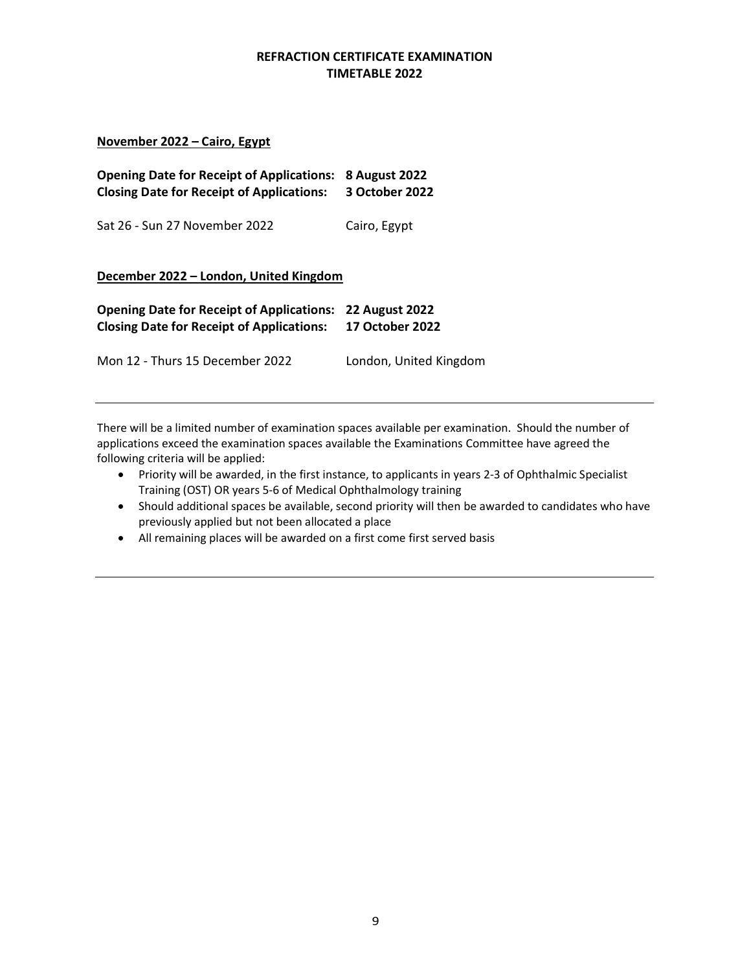### REFRACTION CERTIFICATE EXAMINATION TIMETABLE 2022

### November 2022 – Cairo, Egypt

| <b>Opening Date for Receipt of Applications:</b><br><b>Closing Date for Receipt of Applications:</b> | <b>8 August 2022</b><br>3 October 2022          |
|------------------------------------------------------------------------------------------------------|-------------------------------------------------|
| Sat 26 - Sun 27 November 2022                                                                        | Cairo, Egypt                                    |
| December 2022 - London, United Kingdom                                                               |                                                 |
| <b>Opening Date for Receipt of Applications:</b><br><b>Closing Date for Receipt of Applications:</b> | <b>22 August 2022</b><br><b>17 October 2022</b> |
| Mon 12 - Thurs 15 December 2022                                                                      | London, United Kingdom                          |

There will be a limited number of examination spaces available per examination. Should the number of applications exceed the examination spaces available the Examinations Committee have agreed the following criteria will be applied:

- Priority will be awarded, in the first instance, to applicants in years 2-3 of Ophthalmic Specialist Training (OST) OR years 5-6 of Medical Ophthalmology training
- Should additional spaces be available, second priority will then be awarded to candidates who have previously applied but not been allocated a place
- All remaining places will be awarded on a first come first served basis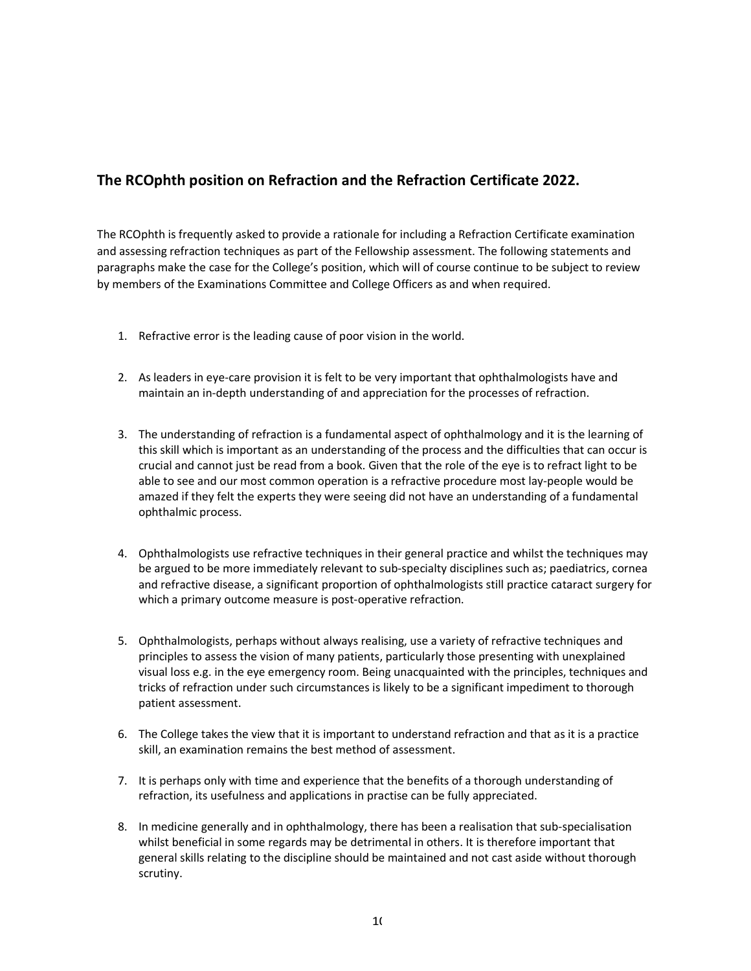# The RCOphth position on Refraction and the Refraction Certificate 2022.

The RCOphth is frequently asked to provide a rationale for including a Refraction Certificate examination and assessing refraction techniques as part of the Fellowship assessment. The following statements and paragraphs make the case for the College's position, which will of course continue to be subject to review by members of the Examinations Committee and College Officers as and when required.

- 1. Refractive error is the leading cause of poor vision in the world.
- 2. As leaders in eye-care provision it is felt to be very important that ophthalmologists have and maintain an in-depth understanding of and appreciation for the processes of refraction.
- 3. The understanding of refraction is a fundamental aspect of ophthalmology and it is the learning of this skill which is important as an understanding of the process and the difficulties that can occur is crucial and cannot just be read from a book. Given that the role of the eye is to refract light to be able to see and our most common operation is a refractive procedure most lay-people would be amazed if they felt the experts they were seeing did not have an understanding of a fundamental ophthalmic process.
- 4. Ophthalmologists use refractive techniques in their general practice and whilst the techniques may be argued to be more immediately relevant to sub-specialty disciplines such as; paediatrics, cornea and refractive disease, a significant proportion of ophthalmologists still practice cataract surgery for which a primary outcome measure is post-operative refraction.
- 5. Ophthalmologists, perhaps without always realising, use a variety of refractive techniques and principles to assess the vision of many patients, particularly those presenting with unexplained visual loss e.g. in the eye emergency room. Being unacquainted with the principles, techniques and tricks of refraction under such circumstances is likely to be a significant impediment to thorough patient assessment.
- 6. The College takes the view that it is important to understand refraction and that as it is a practice skill, an examination remains the best method of assessment.
- 7. It is perhaps only with time and experience that the benefits of a thorough understanding of refraction, its usefulness and applications in practise can be fully appreciated.
- 8. In medicine generally and in ophthalmology, there has been a realisation that sub-specialisation whilst beneficial in some regards may be detrimental in others. It is therefore important that general skills relating to the discipline should be maintained and not cast aside without thorough scrutiny.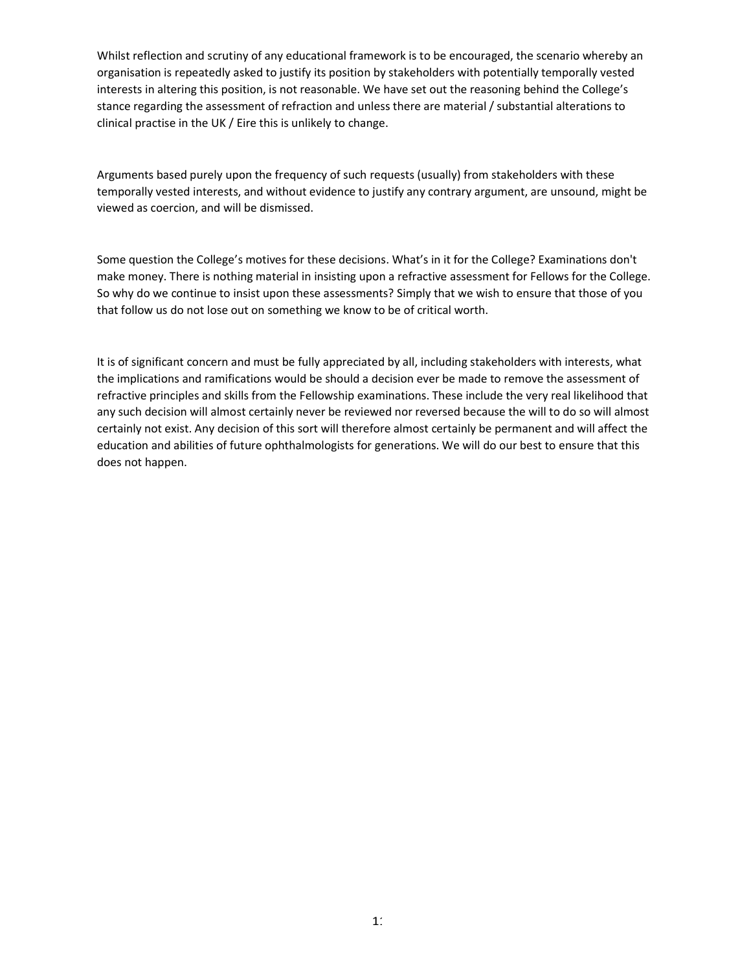Whilst reflection and scrutiny of any educational framework is to be encouraged, the scenario whereby an organisation is repeatedly asked to justify its position by stakeholders with potentially temporally vested interests in altering this position, is not reasonable. We have set out the reasoning behind the College's stance regarding the assessment of refraction and unless there are material / substantial alterations to clinical practise in the UK / Eire this is unlikely to change.

Arguments based purely upon the frequency of such requests (usually) from stakeholders with these temporally vested interests, and without evidence to justify any contrary argument, are unsound, might be viewed as coercion, and will be dismissed.

Some question the College's motives for these decisions. What's in it for the College? Examinations don't make money. There is nothing material in insisting upon a refractive assessment for Fellows for the College. So why do we continue to insist upon these assessments? Simply that we wish to ensure that those of you that follow us do not lose out on something we know to be of critical worth.

It is of significant concern and must be fully appreciated by all, including stakeholders with interests, what the implications and ramifications would be should a decision ever be made to remove the assessment of refractive principles and skills from the Fellowship examinations. These include the very real likelihood that any such decision will almost certainly never be reviewed nor reversed because the will to do so will almost certainly not exist. Any decision of this sort will therefore almost certainly be permanent and will affect the education and abilities of future ophthalmologists for generations. We will do our best to ensure that this does not happen.